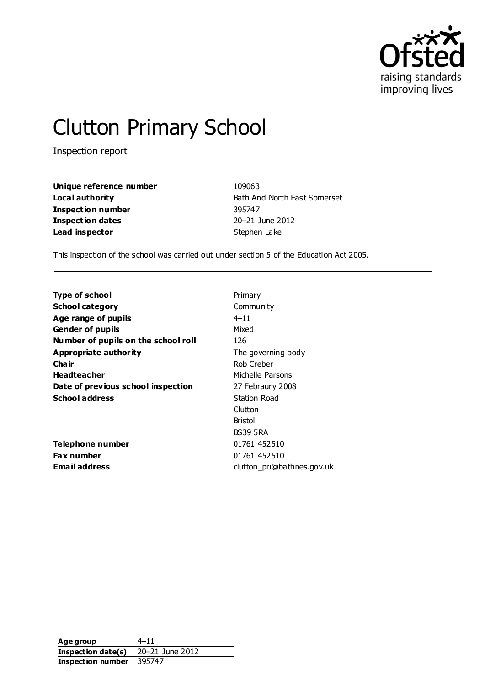

# Clutton Primary School

Inspection report

**Unique reference number** 109063 **Inspection number** 395747 **Inspection dates** 20–21 June 2012 **Lead inspector** Stephen Lake

**Local authority Bath And North East Somerset** 

This inspection of the school was carried out under section 5 of the Education Act 2005.

| <b>Type of school</b>               | Primary                    |
|-------------------------------------|----------------------------|
| <b>School category</b>              | Community                  |
| Age range of pupils                 | $4 - 11$                   |
| <b>Gender of pupils</b>             | Mixed                      |
| Number of pupils on the school roll | 126                        |
| Appropriate authority               | The governing body         |
| Cha ir                              | Rob Creber                 |
| <b>Headteacher</b>                  | Michelle Parsons           |
| Date of previous school inspection  | 27 Febraury 2008           |
| <b>School address</b>               | Station Road               |
|                                     | Clutton                    |
|                                     | <b>Bristol</b>             |
|                                     | <b>BS39 5RA</b>            |
| Telephone number                    | 01761 452510               |
| <b>Fax number</b>                   | 01761 452510               |
| <b>Email address</b>                | clutton pri@bathnes.gov.uk |
|                                     |                            |

**Age group** 4–11 **Inspection date(s)** 20–21 June 2012 **Inspection number** 395747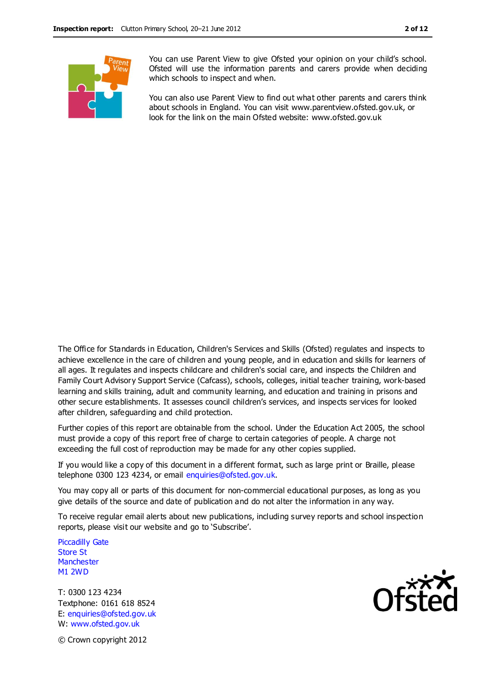

You can use Parent View to give Ofsted your opinion on your child's school. Ofsted will use the information parents and carers provide when deciding which schools to inspect and when.

You can also use Parent View to find out what other parents and carers think about schools in England. You can visit www.parentview.ofsted.gov.uk, or look for the link on the main Ofsted website: www.ofsted.gov.uk

The Office for Standards in Education, Children's Services and Skills (Ofsted) regulates and inspects to achieve excellence in the care of children and young people, and in education and skills for learners of all ages. It regulates and inspects childcare and children's social care, and inspects the Children and Family Court Advisory Support Service (Cafcass), schools, colleges, initial teacher training, work-based learning and skills training, adult and community learning, and education and training in prisons and other secure establishments. It assesses council children's services, and inspects services for looked after children, safeguarding and child protection.

Further copies of this report are obtainable from the school. Under the Education Act 2005, the school must provide a copy of this report free of charge to certain categories of people. A charge not exceeding the full cost of reproduction may be made for any other copies supplied.

If you would like a copy of this document in a different format, such as large print or Braille, please telephone 0300 123 4234, or email enquiries@ofsted.gov.uk.

You may copy all or parts of this document for non-commercial educational purposes, as long as you give details of the source and date of publication and do not alter the information in any way.

To receive regular email alerts about new publications, including survey reports and school inspection reports, please visit our website and go to 'Subscribe'.

Piccadilly Gate Store St **Manchester** M1 2WD

T: 0300 123 4234 Textphone: 0161 618 8524 E: enquiries@ofsted.gov.uk W: www.ofsted.gov.uk



© Crown copyright 2012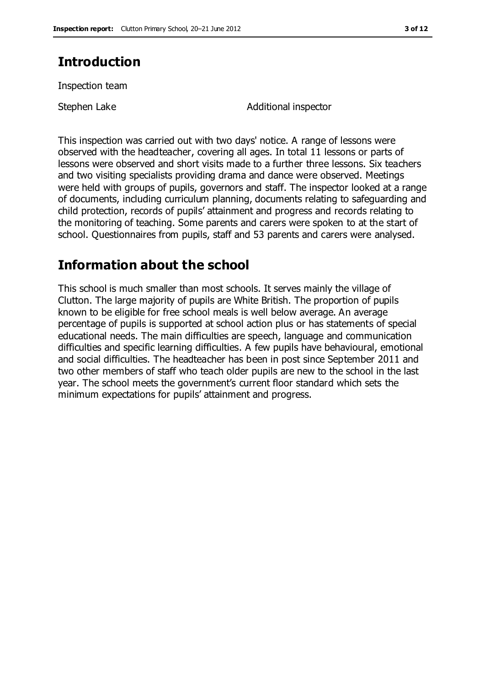# **Introduction**

Inspection team

Stephen Lake Additional inspector

This inspection was carried out with two days' notice. A range of lessons were observed with the headteacher, covering all ages. In total 11 lessons or parts of lessons were observed and short visits made to a further three lessons. Six teachers and two visiting specialists providing drama and dance were observed. Meetings were held with groups of pupils, governors and staff. The inspector looked at a range of documents, including curriculum planning, documents relating to safeguarding and child protection, records of pupils' attainment and progress and records relating to the monitoring of teaching. Some parents and carers were spoken to at the start of school. Questionnaires from pupils, staff and 53 parents and carers were analysed.

# **Information about the school**

This school is much smaller than most schools. It serves mainly the village of Clutton. The large majority of pupils are White British. The proportion of pupils known to be eligible for free school meals is well below average. An average percentage of pupils is supported at school action plus or has statements of special educational needs. The main difficulties are speech, language and communication difficulties and specific learning difficulties. A few pupils have behavioural, emotional and social difficulties. The headteacher has been in post since September 2011 and two other members of staff who teach older pupils are new to the school in the last year. The school meets the government's current floor standard which sets the minimum expectations for pupils' attainment and progress.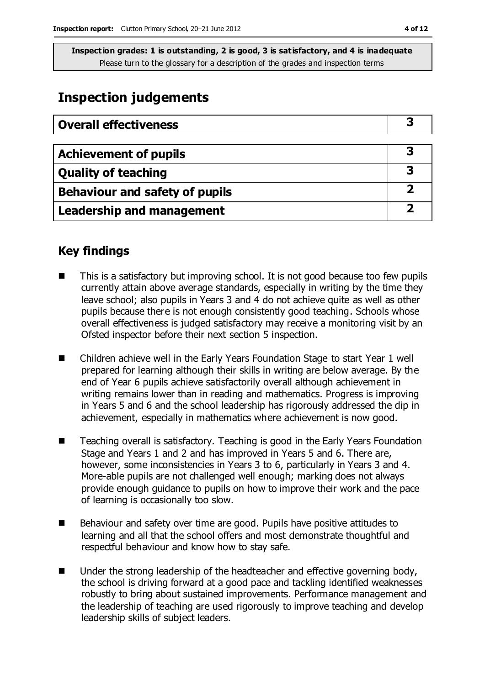# **Inspection judgements**

| <b>Overall effectiveness</b>     |  |
|----------------------------------|--|
|                                  |  |
| <b>Achievement of pupils</b>     |  |
| <b>Quality of teaching</b>       |  |
| Behaviour and safety of pupils   |  |
| <b>Leadership and management</b> |  |

## **Key findings**

- This is a satisfactory but improving school. It is not good because too few pupils currently attain above average standards, especially in writing by the time they leave school; also pupils in Years 3 and 4 do not achieve quite as well as other pupils because there is not enough consistently good teaching. Schools whose overall effectiveness is judged satisfactory may receive a monitoring visit by an Ofsted inspector before their next section 5 inspection.
- Children achieve well in the Early Years Foundation Stage to start Year 1 well prepared for learning although their skills in writing are below average. By the end of Year 6 pupils achieve satisfactorily overall although achievement in writing remains lower than in reading and mathematics. Progress is improving in Years 5 and 6 and the school leadership has rigorously addressed the dip in achievement, especially in mathematics where achievement is now good.
- Teaching overall is satisfactory. Teaching is good in the Early Years Foundation Stage and Years 1 and 2 and has improved in Years 5 and 6. There are, however, some inconsistencies in Years 3 to 6, particularly in Years 3 and 4. More-able pupils are not challenged well enough; marking does not always provide enough guidance to pupils on how to improve their work and the pace of learning is occasionally too slow.
- Behaviour and safety over time are good. Pupils have positive attitudes to learning and all that the school offers and most demonstrate thoughtful and respectful behaviour and know how to stay safe.
- Under the strong leadership of the headteacher and effective governing body, the school is driving forward at a good pace and tackling identified weaknesses robustly to bring about sustained improvements. Performance management and the leadership of teaching are used rigorously to improve teaching and develop leadership skills of subject leaders.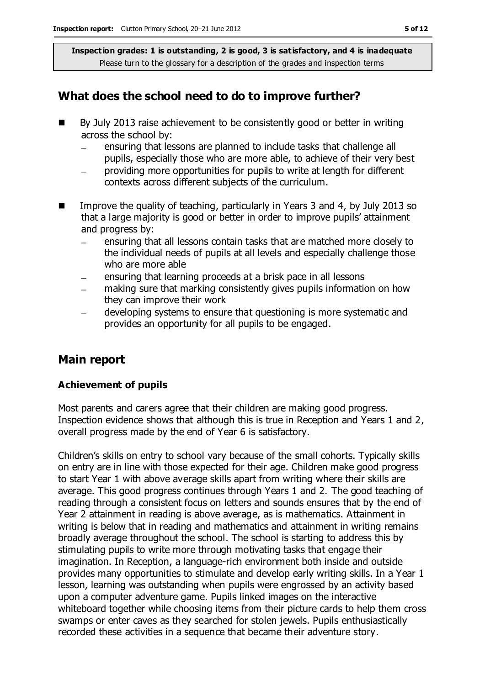## **What does the school need to do to improve further?**

- By July 2013 raise achievement to be consistently good or better in writing across the school by:
	- ensuring that lessons are planned to include tasks that challenge all pupils, especially those who are more able, to achieve of their very best
	- providing more opportunities for pupils to write at length for different contexts across different subjects of the curriculum.
- Improve the quality of teaching, particularly in Years 3 and 4, by July 2013 so that a large majority is good or better in order to improve pupils' attainment and progress by:
	- ensuring that all lessons contain tasks that are matched more closely to the individual needs of pupils at all levels and especially challenge those who are more able
	- ensuring that learning proceeds at a brisk pace in all lessons
	- making sure that marking consistently gives pupils information on how they can improve their work
	- developing systems to ensure that questioning is more systematic and provides an opportunity for all pupils to be engaged.

## **Main report**

#### **Achievement of pupils**

Most parents and carers agree that their children are making good progress. Inspection evidence shows that although this is true in Reception and Years 1 and 2, overall progress made by the end of Year 6 is satisfactory.

Children's skills on entry to school vary because of the small cohorts. Typically skills on entry are in line with those expected for their age. Children make good progress to start Year 1 with above average skills apart from writing where their skills are average. This good progress continues through Years 1 and 2. The good teaching of reading through a consistent focus on letters and sounds ensures that by the end of Year 2 attainment in reading is above average, as is mathematics. Attainment in writing is below that in reading and mathematics and attainment in writing remains broadly average throughout the school. The school is starting to address this by stimulating pupils to write more through motivating tasks that engage their imagination. In Reception, a language-rich environment both inside and outside provides many opportunities to stimulate and develop early writing skills. In a Year 1 lesson, learning was outstanding when pupils were engrossed by an activity based upon a computer adventure game. Pupils linked images on the interactive whiteboard together while choosing items from their picture cards to help them cross swamps or enter caves as they searched for stolen jewels. Pupils enthusiastically recorded these activities in a sequence that became their adventure story.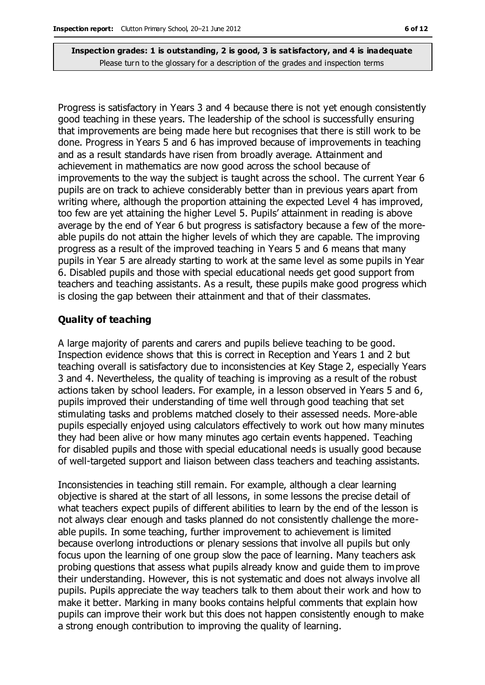Progress is satisfactory in Years 3 and 4 because there is not yet enough consistently good teaching in these years. The leadership of the school is successfully ensuring that improvements are being made here but recognises that there is still work to be done. Progress in Years 5 and 6 has improved because of improvements in teaching and as a result standards have risen from broadly average. Attainment and achievement in mathematics are now good across the school because of improvements to the way the subject is taught across the school. The current Year 6 pupils are on track to achieve considerably better than in previous years apart from writing where, although the proportion attaining the expected Level 4 has improved, too few are yet attaining the higher Level 5. Pupils' attainment in reading is above average by the end of Year 6 but progress is satisfactory because a few of the moreable pupils do not attain the higher levels of which they are capable. The improving progress as a result of the improved teaching in Years 5 and 6 means that many pupils in Year 5 are already starting to work at the same level as some pupils in Year 6. Disabled pupils and those with special educational needs get good support from teachers and teaching assistants. As a result, these pupils make good progress which is closing the gap between their attainment and that of their classmates.

#### **Quality of teaching**

A large majority of parents and carers and pupils believe teaching to be good. Inspection evidence shows that this is correct in Reception and Years 1 and 2 but teaching overall is satisfactory due to inconsistencies at Key Stage 2, especially Years 3 and 4. Nevertheless, the quality of teaching is improving as a result of the robust actions taken by school leaders. For example, in a lesson observed in Years 5 and 6, pupils improved their understanding of time well through good teaching that set stimulating tasks and problems matched closely to their assessed needs. More-able pupils especially enjoyed using calculators effectively to work out how many minutes they had been alive or how many minutes ago certain events happened. Teaching for disabled pupils and those with special educational needs is usually good because of well-targeted support and liaison between class teachers and teaching assistants.

Inconsistencies in teaching still remain. For example, although a clear learning objective is shared at the start of all lessons, in some lessons the precise detail of what teachers expect pupils of different abilities to learn by the end of the lesson is not always clear enough and tasks planned do not consistently challenge the moreable pupils. In some teaching, further improvement to achievement is limited because overlong introductions or plenary sessions that involve all pupils but only focus upon the learning of one group slow the pace of learning. Many teachers ask probing questions that assess what pupils already know and guide them to improve their understanding. However, this is not systematic and does not always involve all pupils. Pupils appreciate the way teachers talk to them about their work and how to make it better. Marking in many books contains helpful comments that explain how pupils can improve their work but this does not happen consistently enough to make a strong enough contribution to improving the quality of learning.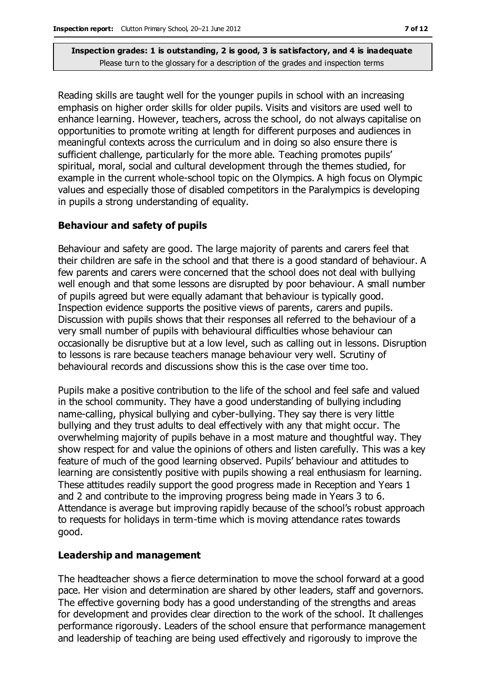Reading skills are taught well for the younger pupils in school with an increasing emphasis on higher order skills for older pupils. Visits and visitors are used well to enhance learning. However, teachers, across the school, do not always capitalise on opportunities to promote writing at length for different purposes and audiences in meaningful contexts across the curriculum and in doing so also ensure there is sufficient challenge, particularly for the more able. Teaching promotes pupils' spiritual, moral, social and cultural development through the themes studied, for example in the current whole-school topic on the Olympics. A high focus on Olympic values and especially those of disabled competitors in the Paralympics is developing in pupils a strong understanding of equality.

#### **Behaviour and safety of pupils**

Behaviour and safety are good. The large majority of parents and carers feel that their children are safe in the school and that there is a good standard of behaviour. A few parents and carers were concerned that the school does not deal with bullying well enough and that some lessons are disrupted by poor behaviour. A small number of pupils agreed but were equally adamant that behaviour is typically good. Inspection evidence supports the positive views of parents, carers and pupils. Discussion with pupils shows that their responses all referred to the behaviour of a very small number of pupils with behavioural difficulties whose behaviour can occasionally be disruptive but at a low level, such as calling out in lessons. Disruption to lessons is rare because teachers manage behaviour very well. Scrutiny of behavioural records and discussions show this is the case over time too.

Pupils make a positive contribution to the life of the school and feel safe and valued in the school community. They have a good understanding of bullying including name-calling, physical bullying and cyber-bullying. They say there is very little bullying and they trust adults to deal effectively with any that might occur. The overwhelming majority of pupils behave in a most mature and thoughtful way. They show respect for and value the opinions of others and listen carefully. This was a key feature of much of the good learning observed. Pupils' behaviour and attitudes to learning are consistently positive with pupils showing a real enthusiasm for learning. These attitudes readily support the good progress made in Reception and Years 1 and 2 and contribute to the improving progress being made in Years 3 to 6. Attendance is average but improving rapidly because of the school's robust approach to requests for holidays in term-time which is moving attendance rates towards good.

#### **Leadership and management**

The headteacher shows a fierce determination to move the school forward at a good pace. Her vision and determination are shared by other leaders, staff and governors. The effective governing body has a good understanding of the strengths and areas for development and provides clear direction to the work of the school. It challenges performance rigorously. Leaders of the school ensure that performance management and leadership of teaching are being used effectively and rigorously to improve the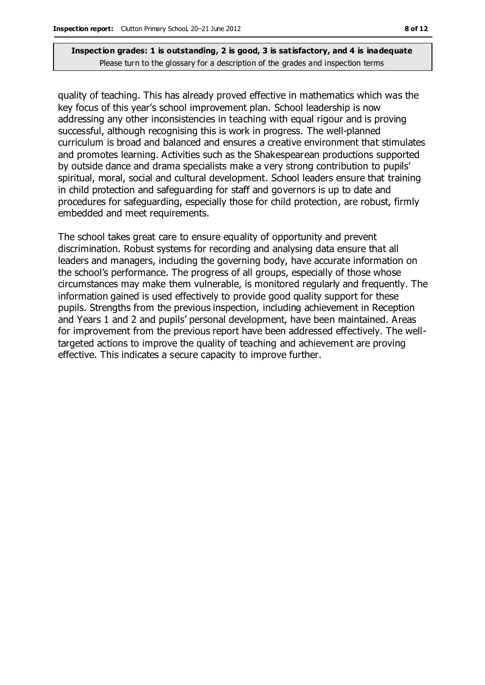quality of teaching. This has already proved effective in mathematics which was the key focus of this year's school improvement plan. School leadership is now addressing any other inconsistencies in teaching with equal rigour and is proving successful, although recognising this is work in progress. The well-planned curriculum is broad and balanced and ensures a creative environment that stimulates and promotes learning. Activities such as the Shakespearean productions supported by outside dance and drama specialists make a very strong contribution to pupils' spiritual, moral, social and cultural development. School leaders ensure that training in child protection and safeguarding for staff and governors is up to date and procedures for safeguarding, especially those for child protection, are robust, firmly embedded and meet requirements.

The school takes great care to ensure equality of opportunity and prevent discrimination. Robust systems for recording and analysing data ensure that all leaders and managers, including the governing body, have accurate information on the school's performance. The progress of all groups, especially of those whose circumstances may make them vulnerable, is monitored regularly and frequently. The information gained is used effectively to provide good quality support for these pupils. Strengths from the previous inspection, including achievement in Reception and Years 1 and 2 and pupils' personal development, have been maintained. Areas for improvement from the previous report have been addressed effectively. The welltargeted actions to improve the quality of teaching and achievement are proving effective. This indicates a secure capacity to improve further.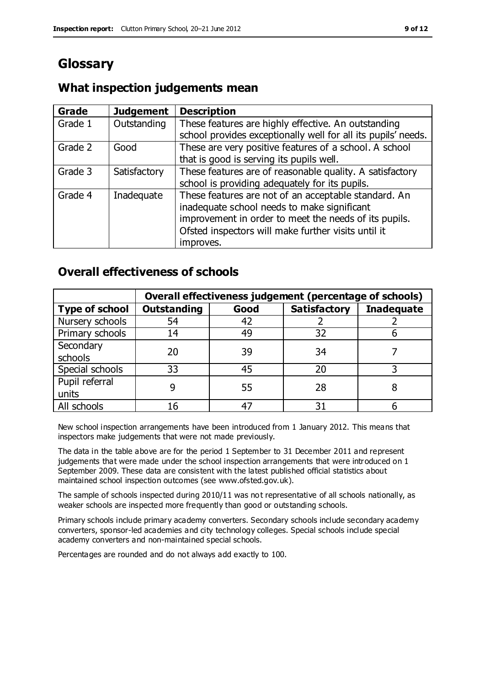# **Glossary**

## **What inspection judgements mean**

| Grade   | <b>Judgement</b> | <b>Description</b>                                            |
|---------|------------------|---------------------------------------------------------------|
| Grade 1 | Outstanding      | These features are highly effective. An outstanding           |
|         |                  | school provides exceptionally well for all its pupils' needs. |
| Grade 2 | Good             | These are very positive features of a school. A school        |
|         |                  | that is good is serving its pupils well.                      |
| Grade 3 | Satisfactory     | These features are of reasonable quality. A satisfactory      |
|         |                  | school is providing adequately for its pupils.                |
| Grade 4 | Inadequate       | These features are not of an acceptable standard. An          |
|         |                  | inadequate school needs to make significant                   |
|         |                  | improvement in order to meet the needs of its pupils.         |
|         |                  | Ofsted inspectors will make further visits until it           |
|         |                  | improves.                                                     |

## **Overall effectiveness of schools**

|                       | Overall effectiveness judgement (percentage of schools) |      |                     |                   |
|-----------------------|---------------------------------------------------------|------|---------------------|-------------------|
| <b>Type of school</b> | <b>Outstanding</b>                                      | Good | <b>Satisfactory</b> | <b>Inadequate</b> |
| Nursery schools       | 54                                                      | 42   |                     |                   |
| Primary schools       | 14                                                      | 49   | 32                  |                   |
| Secondary             | 20                                                      | 39   | 34                  |                   |
| schools               |                                                         |      |                     |                   |
| Special schools       | 33                                                      | 45   | 20                  |                   |
| Pupil referral        |                                                         | 55   | 28                  |                   |
| units                 |                                                         |      |                     |                   |
| All schools           | 16                                                      | 47   | 31                  |                   |

New school inspection arrangements have been introduced from 1 January 2012. This means that inspectors make judgements that were not made previously.

The data in the table above are for the period 1 September to 31 December 2011 and represent judgements that were made under the school inspection arrangements that were introduced on 1 September 2009. These data are consistent with the latest published official statistics about maintained school inspection outcomes (see www.ofsted.gov.uk).

The sample of schools inspected during 2010/11 was not representative of all schools nationally, as weaker schools are inspected more frequently than good or outstanding schools.

Primary schools include primary academy converters. Secondary schools include secondary academy converters, sponsor-led academies and city technology colleges. Special schools include special academy converters and non-maintained special schools.

Percentages are rounded and do not always add exactly to 100.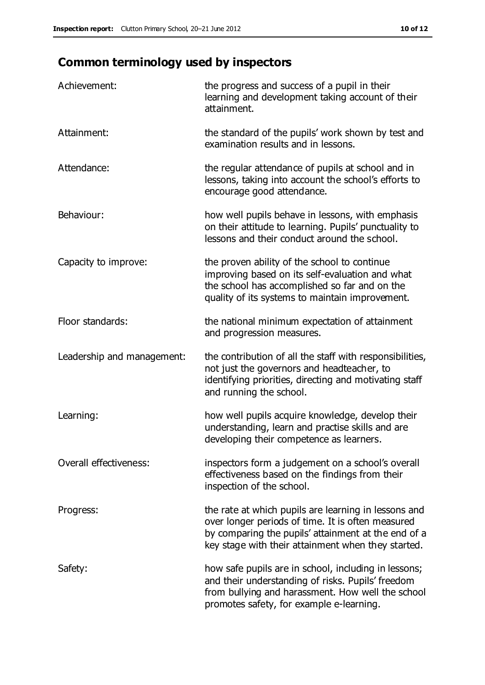# **Common terminology used by inspectors**

| Achievement:               | the progress and success of a pupil in their<br>learning and development taking account of their<br>attainment.                                                                                                        |
|----------------------------|------------------------------------------------------------------------------------------------------------------------------------------------------------------------------------------------------------------------|
| Attainment:                | the standard of the pupils' work shown by test and<br>examination results and in lessons.                                                                                                                              |
| Attendance:                | the regular attendance of pupils at school and in<br>lessons, taking into account the school's efforts to<br>encourage good attendance.                                                                                |
| Behaviour:                 | how well pupils behave in lessons, with emphasis<br>on their attitude to learning. Pupils' punctuality to<br>lessons and their conduct around the school.                                                              |
| Capacity to improve:       | the proven ability of the school to continue<br>improving based on its self-evaluation and what<br>the school has accomplished so far and on the<br>quality of its systems to maintain improvement.                    |
| Floor standards:           | the national minimum expectation of attainment<br>and progression measures.                                                                                                                                            |
| Leadership and management: | the contribution of all the staff with responsibilities,<br>not just the governors and headteacher, to<br>identifying priorities, directing and motivating staff<br>and running the school.                            |
| Learning:                  | how well pupils acquire knowledge, develop their<br>understanding, learn and practise skills and are<br>developing their competence as learners.                                                                       |
| Overall effectiveness:     | inspectors form a judgement on a school's overall<br>effectiveness based on the findings from their<br>inspection of the school.                                                                                       |
| Progress:                  | the rate at which pupils are learning in lessons and<br>over longer periods of time. It is often measured<br>by comparing the pupils' attainment at the end of a<br>key stage with their attainment when they started. |
| Safety:                    | how safe pupils are in school, including in lessons;<br>and their understanding of risks. Pupils' freedom<br>from bullying and harassment. How well the school<br>promotes safety, for example e-learning.             |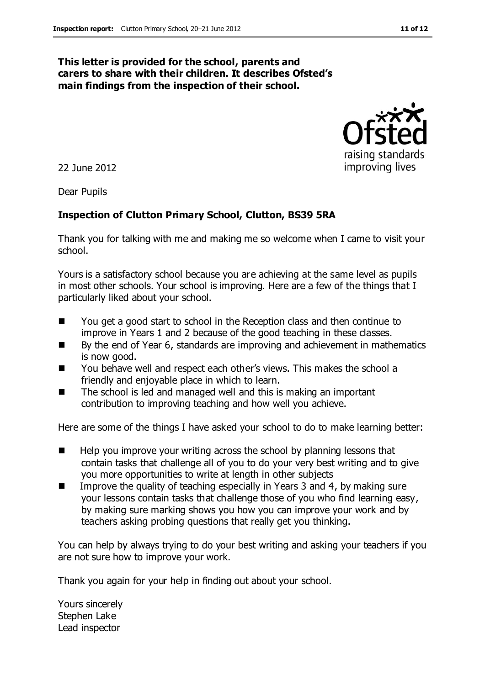#### **This letter is provided for the school, parents and carers to share with their children. It describes Ofsted's main findings from the inspection of their school.**

22 June 2012

Dear Pupils

#### **Inspection of Clutton Primary School, Clutton, BS39 5RA**

Thank you for talking with me and making me so welcome when I came to visit your school.

Yours is a satisfactory school because you are achieving at the same level as pupils in most other schools. Your school is improving. Here are a few of the things that I particularly liked about your school.

- You get a good start to school in the Reception class and then continue to improve in Years 1 and 2 because of the good teaching in these classes.
- By the end of Year 6, standards are improving and achievement in mathematics is now good.
- You behave well and respect each other's views. This makes the school a friendly and enjoyable place in which to learn.
- The school is led and managed well and this is making an important contribution to improving teaching and how well you achieve.

Here are some of the things I have asked your school to do to make learning better:

- $\blacksquare$  Help you improve your writing across the school by planning lessons that contain tasks that challenge all of you to do your very best writing and to give you more opportunities to write at length in other subjects
- Improve the quality of teaching especially in Years 3 and 4, by making sure your lessons contain tasks that challenge those of you who find learning easy, by making sure marking shows you how you can improve your work and by teachers asking probing questions that really get you thinking.

You can help by always trying to do your best writing and asking your teachers if you are not sure how to improve your work.

Thank you again for your help in finding out about your school.

Yours sincerely Stephen Lake Lead inspector